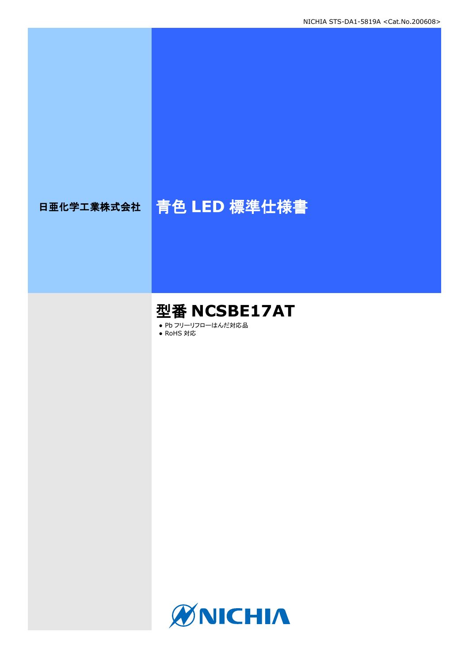# 日亜化学工業株式会社 青色 **LED** 標準仕様書

## 型番 **NCSBE17AT**

● Pb フリーリフローはんだ対応品

● RoHS 対応

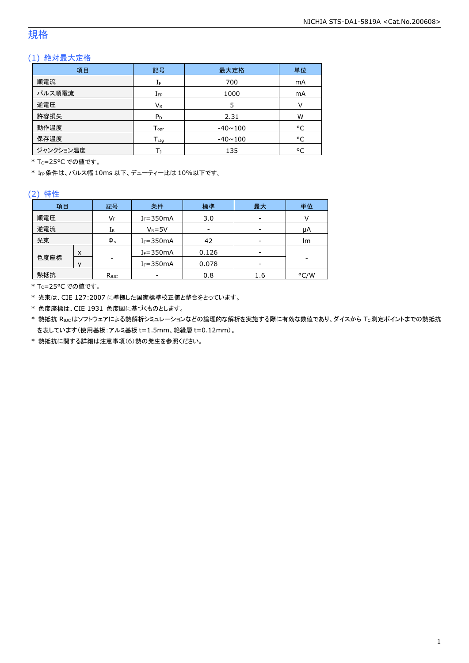### 規格

### (1) 絶対最大定格

| 項目        | 記号                           | 最大定格           | 単位 |
|-----------|------------------------------|----------------|----|
| 順電流       | IF                           | 700            | mA |
| パルス順電流    | $I_{FP}$                     | 1000           | mA |
| 逆電圧       | VR                           | 5              | V  |
| 許容損失      | P <sub>D</sub>               | 2.31           | W  |
| 動作温度      | ${\mathsf T}_{\textsf{opr}}$ | $-40 \sim 100$ | °C |
| 保存温度      | $T_{\rm stq}$                | $-40 \sim 100$ | °C |
| ジャンクション温度 |                              | 135            | °C |

\* Tc=25°C での値です。

\* IFP条件は、パルス幅 10ms 以下、デューティー比は 10%以下です。

#### (2) 特性

| 記号<br>項目  |   | 条件             | 標準            | 最大                       | 単位  |      |
|-----------|---|----------------|---------------|--------------------------|-----|------|
| 順電圧       |   | V⊧             | $I_F = 350mA$ | 3.0                      | -   |      |
| 逆電流<br>IR |   |                | $V_R = 5V$    | $\overline{\phantom{a}}$ | -   | μA   |
| 光束        |   | $\Phi_{\rm v}$ | $I_F = 350mA$ | 42                       | -   | Im   |
|           | X |                | $I_F = 350mA$ | 0.126                    | -   |      |
| 色度座標      |   |                | $I_F = 350mA$ | 0.078                    |     |      |
| 熱抵抗       |   | $R_{\theta$ JC |               | 0.8                      | 1.6 | °C/W |

\* TC=25°C での値です。

\* 光束は、CIE 127:2007 に準拠した国家標準校正値と整合をとっています。

\* 色度座標は、CIE 1931 色度図に基づくものとします。

\* 熱抵抗 Rejcはソフトウェアによる熱解析シミュレーションなどの論理的な解析を実施する際に有効な数値であり、ダイスから Tc測定ポイントまでの熱抵抗 を表しています(使用基板:アルミ基板 t=1.5mm、絶縁層 t=0.12mm)。

\* 熱抵抗に関する詳細は注意事項(6)熱の発生を参照ください。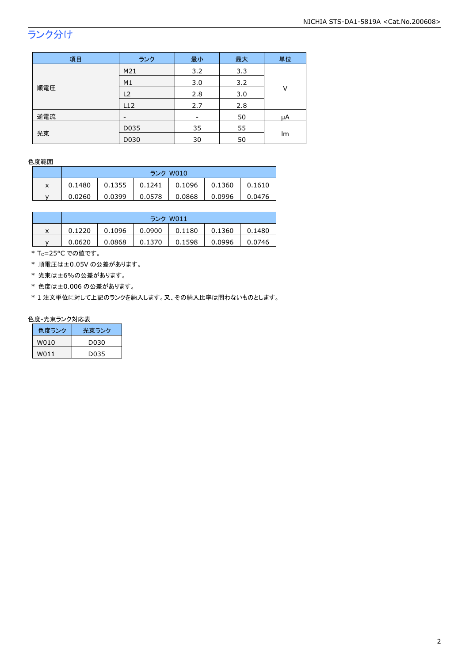## ランク分け

| 項目  | ランク  | 最小                       | 最大  | 単位 |  |
|-----|------|--------------------------|-----|----|--|
|     | M21  | 3.2                      | 3.3 |    |  |
|     | M1   | 3.0                      | 3.2 |    |  |
| 順電圧 | L2   | 2.8                      | 3.0 | V  |  |
|     | L12  | 2.7                      | 2.8 |    |  |
| 逆電流 |      | $\overline{\phantom{a}}$ | 50  | μA |  |
| 光束  | D035 | 35                       | 55  | lm |  |
|     | D030 | 30                       | 50  |    |  |

#### 色度範囲

|   | ランク W010 |        |        |        |        |        |
|---|----------|--------|--------|--------|--------|--------|
| x | 0.1480   | 0.1355 | 0.1241 | 0.1096 | 0.1360 | 0.1610 |
|   | 0.0260   | 0.0399 | 0.0578 | 0.0868 | 0.0996 | 0.0476 |

|   | ランク W011 |        |        |        |        |        |  |
|---|----------|--------|--------|--------|--------|--------|--|
| X | 0.1220   | 0.1096 | 0.0900 | 0.1180 | 0.1360 | 0.1480 |  |
|   | 0.0620   | 0.0868 | 0.1370 | 0.1598 | 0.0996 | 0.0746 |  |

\* Tc=25°C での値です。

\* 順電圧は±0.05V の公差があります。

\* 光束は±6%の公差があります。

\* 色度は±0.006 の公差があります。

\* 1 注文単位に対して上記のランクを納入します。又、その納入比率は問わないものとします。

#### 色度-光束ランク対応表

| 色度ランク | 光東ランク |
|-------|-------|
| W010  | D030  |
| W011  | D035  |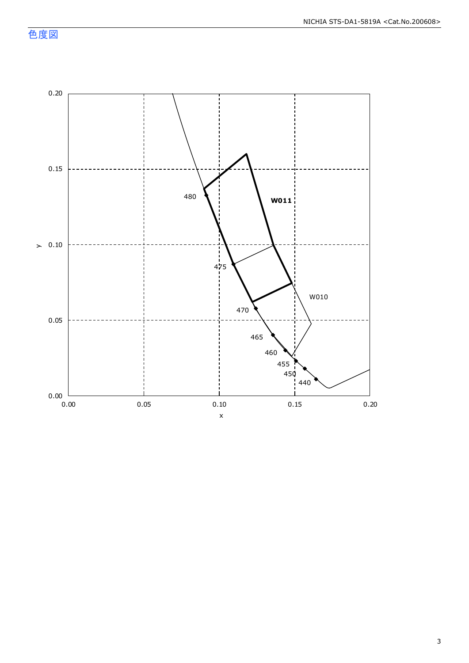色度図

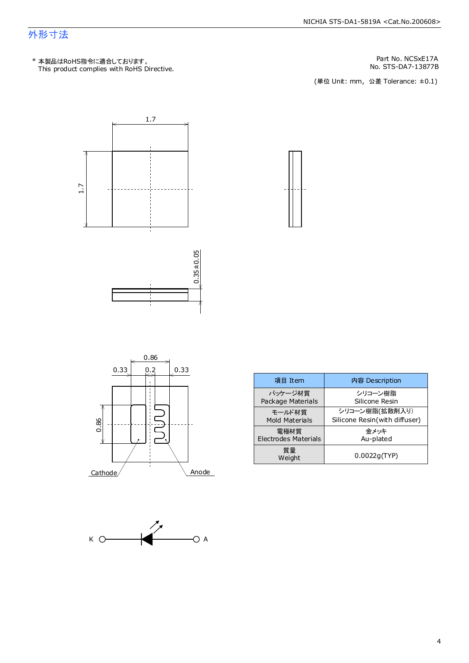### 外形寸法

This product complies with RoHS Directive. \* 本製品はRoHS指令に適合しております。

No. STS-DA7-13877B Part No. NCSxE17A

(単位 Unit: mm) (単位 Unit: mm, 公差 Tolerance: ±0.1)













| 項目 Item                     | 内容 Description                |
|-----------------------------|-------------------------------|
| パッケージ材質                     | シリコーン樹脂                       |
| Package Materials           | Silicone Resin                |
| モールド材質                      | シリコーン樹脂(拡散剤入り)                |
| <b>Mold Materials</b>       | Silicone Resin(with diffuser) |
| 電極材質                        | 金メッキ                          |
| <b>Electrodes Materials</b> | Au-plated                     |
| 質量<br>Weight                | 0.0022q(TYP)                  |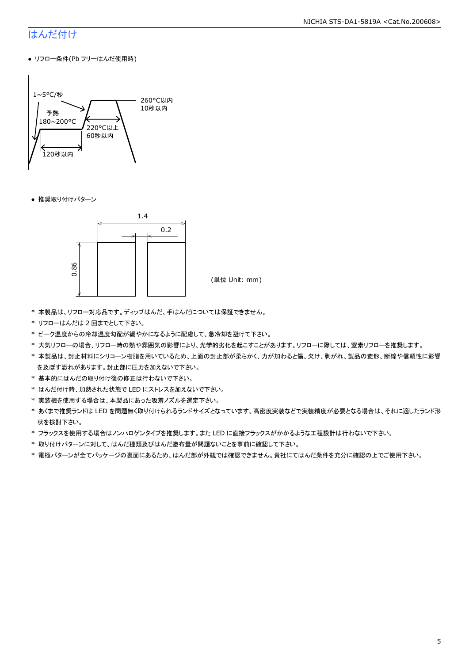#### NICHIA STS-DA1-5819A <Cat.No.200608>

### はんだ付け

● リフロー条件(Pb フリーはんだ使用時)



● 推奨取り付けパターン



(単位 Unit: mm)

- \* 本製品は、リフロー対応品です。ディップはんだ、手はんだについては保証できません。
- \* リフローはんだは 2 回までとして下さい。
- \* ピーク温度からの冷却温度勾配が緩やかになるように配慮して、急冷却を避けて下さい。
- \* 大気リフローの場合、リフロー時の熱や雰囲気の影響により、光学的劣化を起こすことがあります。リフローに際しては、窒素リフローを推奨します。
- \* 本製品は、封止材料にシリコーン樹脂を用いているため、上面の封止部が柔らかく、力が加わると傷、欠け、剥がれ、製品の変形、断線や信頼性に影響 を及ぼす恐れがあります。封止部に圧力を加えないで下さい。
- \* 基本的にはんだの取り付け後の修正は行わないで下さい。
- \* はんだ付け時、加熱された状態で LED にストレスを加えないで下さい。
- \* 実装機を使用する場合は、本製品にあった吸着ノズルを選定下さい。
- \* あくまで推奨ランドは LED を問題無く取り付けられるランドサイズとなっています。高密度実装などで実装精度が必要となる場合は、それに適したランド形 状を検討下さい。
- \* フラックスを使用する場合はノンハロゲンタイプを推奨します。また LED に直接フラックスがかかるような工程設計は行わないで下さい。
- \* 取り付けパターンに対して、はんだ種類及びはんだ塗布量が問題ないことを事前に確認して下さい。
- \* 電極パターンが全てパッケージの裏面にあるため、はんだ部が外観では確認できません。貴社にてはんだ条件を充分に確認の上でご使用下さい。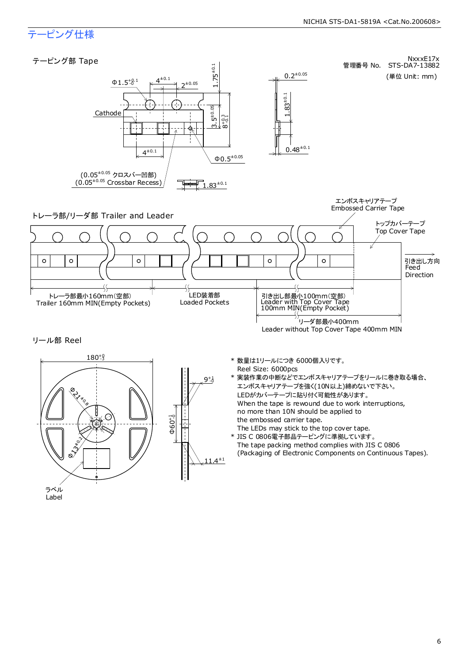#### NICHIA STS-DA1-5819A <Cat.No.200608>

### テーピング仕様

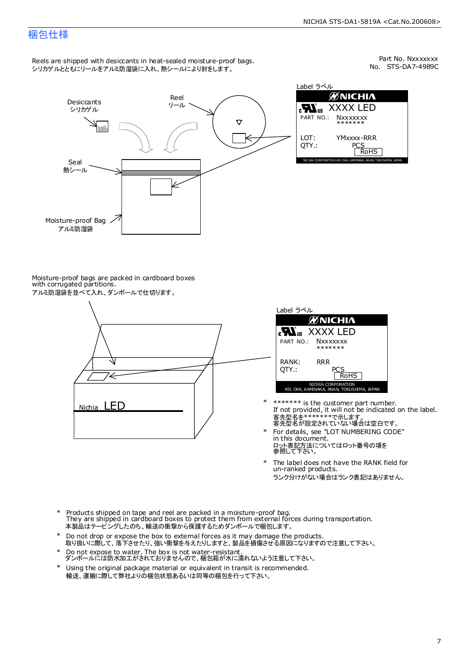### 梱包仕様

Reels are shipped with desiccants in heat-sealed moisture-proof bags. シリカゲルとともにリールをアルミ防湿袋に入れ、熱シールにより封をします。

No. STS-DA7-4989C Part No. Nxxxxxxx



Label ラベル йNICHI∧ XXXX LED **Nxxxxxxx** \*\*\*\*\*\*\* YMxxxx-RRR PCS<br>RoHS NICHIA CORPORATION 491 OKA, KAMINAKA, ANAN, TOKUSHIMA, JAPAN

Moisture-proof bags are packed in cardboard boxes with corrugated partitions. アルミ防湿袋を並べて入れ、ダンボールで仕切ります。





- 客先型名を\*\*\*\*\*\*\*\*で示します。<br>客先型名が設定されていない場合は空白です。 If not provided, it will not be indicated on the label. \*\*\*\*\*\*\* is the customer part number.
- For details, see "LOT NUMBERING CODE" in this document. ロット表記方法についてはロット番号の項を<br>参照して下さい。 \*
- The label does not have the RANK field for un-ranked products. ランク分けがない場合はランク表記はありません。 \*
- Products shipped on tape and reel are packed in a moisture-proof bag. They are shipped in cardboard boxes to protect them from external forces during transportation. 本製品はテーピングしたのち、輸送の衝撃から保護するためダンボールで梱包します。 \*
- Do not drop or expose the box to external forces as it may damage the products. 取り扱いに際して、落下させたり、強い衝撃を与えたりしますと、製品を損傷させる原因になりますので注意して下さい。 \*
- Do not expose to water. The box is not water-resistant. ダンボールには防水加工がされておりませんので、梱包箱が水に濡れないよう注意して下さい。 \*
- \* Using the original package material or equivalent in transit is recommended. 輸送、運搬に際して弊社よりの梱包状態あるいは同等の梱包を行って下さい。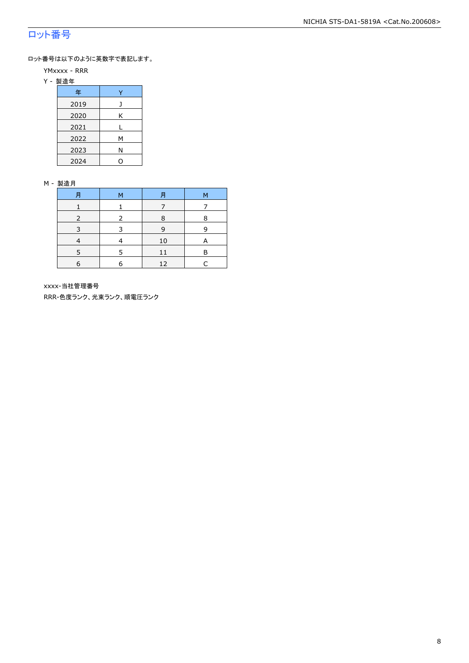### ロット番号

ロット番号は以下のように英数字で表記します。

- YMxxxx RRR
- Y 製造年

| 年    |   |
|------|---|
| 2019 |   |
| 2020 | Κ |
| 2021 |   |
| 2022 | м |
| 2023 | Ν |
| 2024 |   |

#### M - 製造月

| 月 | м | 月  | М |
|---|---|----|---|
|   |   |    |   |
|   |   | 8  | 8 |
| 3 | २ | 9  | q |
|   |   | 10 | A |
|   | ᄃ | 11 | в |
| 6 | 6 | 12 |   |

xxxx-当社管理番号

RRR-色度ランク、光束ランク、順電圧ランク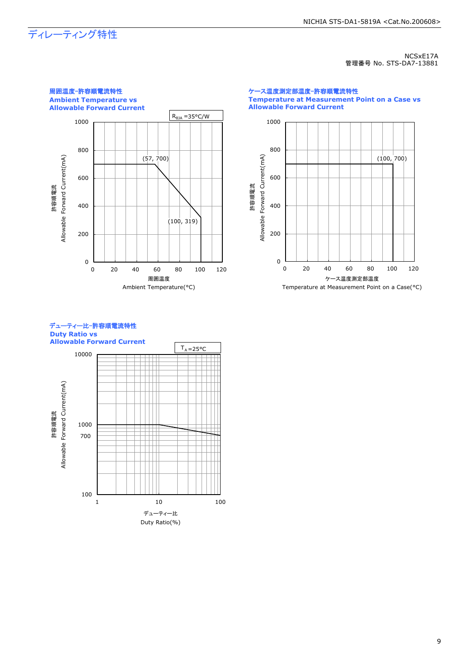## ディレーティング特性

NCSxE17A 管理番号 No. STS-DA7-13881



ケース温度測定部温度-許容順電流特性 **Temperature at Measurement Point on a Case vs Allowable Forward Current**



#### デューティー比-許容順電流特性 **Duty Ratio vs Allowable Forward Current**

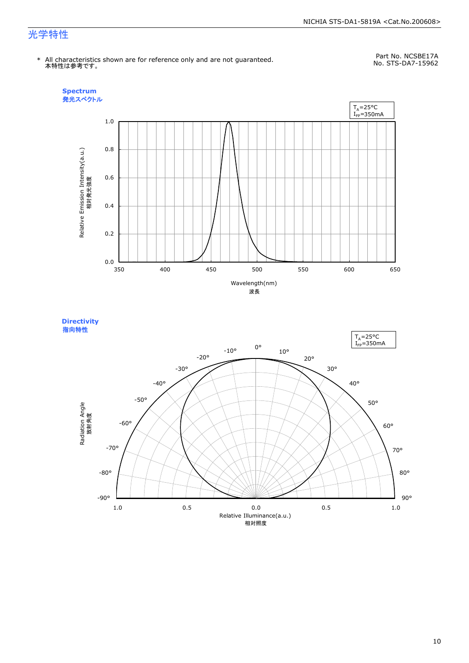#### NICHIA STS-DA1-5819A <Cat.No.200608>

### 光学特性

\* All characteristics shown are for reference only and are not guaranteed. 本特性は参考です。

Part No. NCSBE17A No. STS-DA7-15962



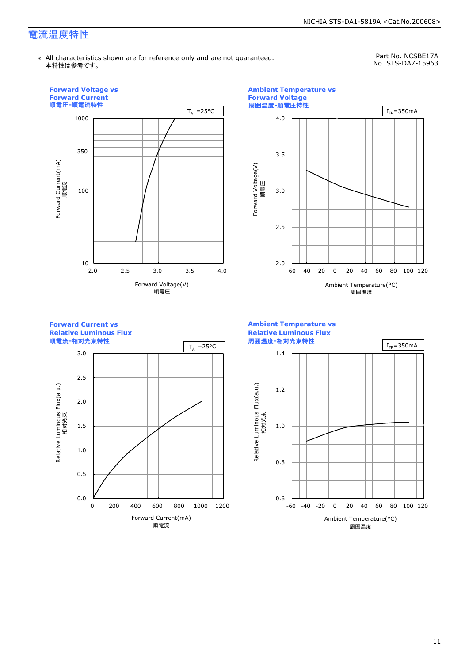### 電流温度特性

\* All characteristics shown are for reference only and are not guaranteed. 本特性は参考です。

Part No. NCSBE17A No. STS-DA7-15963

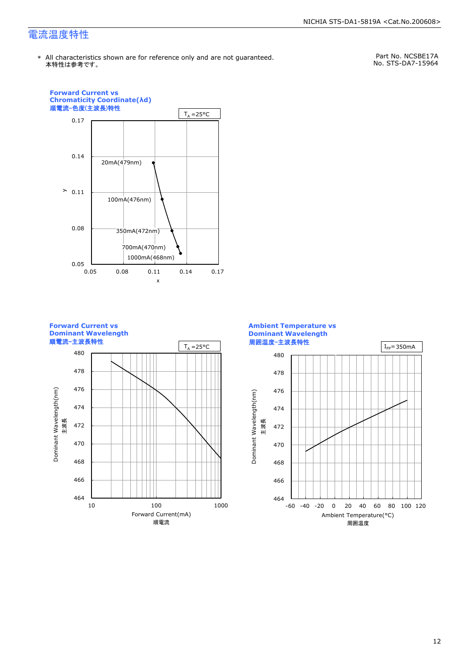### 電流温度特性

Part No. NCSBE17A No. STS-DA7-15964



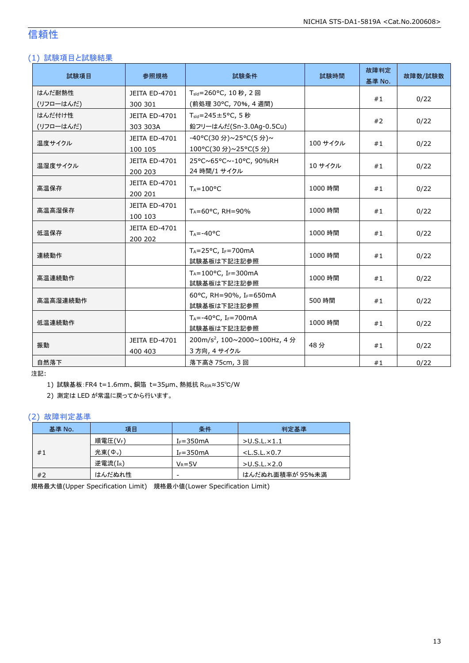### 信頼性

#### (1) 試験項目と試験結果

| 試験項目      | 参照規格                     | 試験条件<br>試験時間                                        |          | 故障判定<br>基準 No. | 故障数/試験数 |
|-----------|--------------------------|-----------------------------------------------------|----------|----------------|---------|
| はんだ耐熱性    | JEITA ED-4701            | T <sub>sld</sub> =260°C, 10秒, 2回                    |          | #1             | 0/22    |
| (リフローはんだ) | 300 301                  | (前処理 30℃, 70%, 4 週間)                                |          |                |         |
| はんだ付け性    | JEITA ED-4701            | $T_{\text{std}} = 245 \pm 5^{\circ}$ C, 5秒          |          | #2             | 0/22    |
| (リフローはんだ) | 303 303A                 | 鉛フリーはんだ(Sn-3.0Ag-0.5Cu)                             |          |                |         |
| 温度サイクル    | JEITA ED-4701            | -40°C(30分)~25°C(5分)~                                | 100 サイクル | #1             | 0/22    |
|           | 100 105                  | 100°C(30 分)~25°C(5 分)                               |          |                |         |
| 温湿度サイクル   | JEITA ED-4701            | 25°C~65°C~-10°C, 90%RH                              | 10 サイクル  | #1             | 0/22    |
|           | 200 203                  | 24 時間/1 サイクル                                        |          |                |         |
| 高温保存      | JEITA ED-4701<br>200 201 | $T_A = 100^{\circ}C$                                | 1000 時間  | #1             | 0/22    |
| 高温高湿保存    | JEITA ED-4701            | $T_A = 60^{\circ}$ C, RH = 90%                      | 1000 時間  | #1             |         |
|           | 100 103                  |                                                     |          |                | 0/22    |
| 低温保存      | JEITA ED-4701            | $T_A = -40$ °C                                      | 1000 時間  | #1             | 0/22    |
|           | 200 202                  |                                                     |          |                |         |
| 連続動作      |                          | $T_A = 25$ °C, I <sub>F</sub> =700mA<br>試験基板は下記注記参照 | 1000 時間  | #1             | 0/22    |
| 高温連続動作    |                          | $T_A = 100$ °C, IF=300mA                            | 1000 時間  | #1             | 0/22    |
|           |                          | 試験基板は下記注記参照                                         |          |                |         |
| 高温高湿連続動作  |                          | 60°C, RH=90%, IF=650mA<br>試験基板は下記注記参照               | 500 時間   | #1             | 0/22    |
| 低温連続動作    |                          | $T_A = -40$ °C, I <sub>F</sub> =700mA               | 1000 時間  | #1             | 0/22    |
|           |                          | 試験基板は下記注記参照                                         |          |                |         |
| 振動        | JEITA ED-4701            | 200m/s <sup>2</sup> , 100~2000~100Hz, 4分            | 48分      | #1             | 0/22    |
|           | 400 403                  | 3 方向, 4 サイクル                                        |          |                |         |
| 自然落下      |                          | 落下高さ 75cm, 3 回                                      |          | #1             | 0/22    |

注記:

1) 試験基板:FR4 t=1.6mm、銅箔 t=35μm、熱抵抗 RθJA≈35℃/W

2) 測定は LED が常温に戻ってから行います。

#### (2) 故障判定基準

| 基準 No. | 項目                  | 条件            | 判定基準                    |
|--------|---------------------|---------------|-------------------------|
|        | 順電圧(VF)             | $I_F = 350mA$ | $>$ U.S.L. $\times$ 1.1 |
| #1     | 光束(Φ <sub>ν</sub> ) | $I_F = 350mA$ | $<$ L.S.L. $\times$ 0.7 |
|        | 逆電流(IR)             | $V_R = 5V$    | $>$ U.S.L. $\times$ 2.0 |
| #2     | はんだぬれ性              | -             | はんだぬれ面積率が 95%未満         |

規格最大値(Upper Specification Limit) 規格最小値(Lower Specification Limit)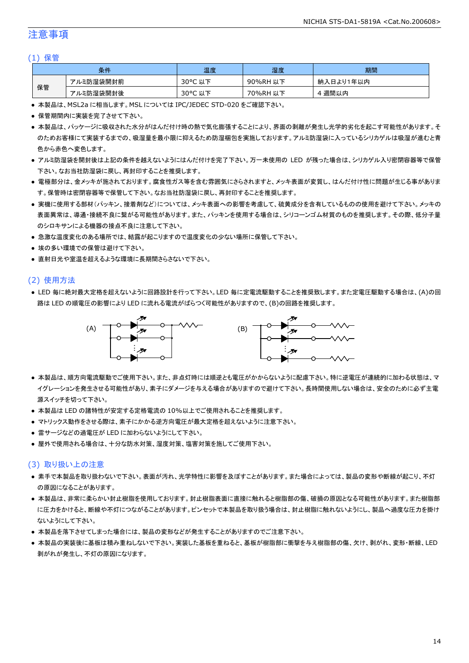### 注意事項

#### (1) 保管

|    | 条件        | 温度                         | 湿度       | 期間        |
|----|-----------|----------------------------|----------|-----------|
|    | アルミ防湿袋開封前 | $30^{\circ}$ C<br>こ以下      | 90%RH 以下 | 納入日より1年以内 |
| 保管 | アルミ防湿袋開封後 | $30^{\circ}$ C<br>,以下<br>֊ | 70%RH 以下 | 週間以内      |

● 本製品は、MSL2a に相当します。MSL については IPC/JEDEC STD-020 をご確認下さい。

- 保管期間内に実装を完了させて下さい。
- 本製品は、パッケージに吸収された水分がはんだ付け時の熱で気化膨張することにより、界面の剥離が発生し光学的劣化を起こす可能性があります。そ のためお客様にて実装するまでの、吸湿量を最小限に抑えるため防湿梱包を実施しております。アルミ防湿袋に入っているシリカゲルは吸湿が進むと青 色から赤色へ変色します。
- アルミ防湿袋を開封後は上記の条件を越えないようにはんだ付けを完了下さい。万一未使用の LED が残った場合は、シリカゲル入り密閉容器等で保管 下さい。なお当社防湿袋に戻し、再封印することを推奨します。
- 電極部分は、金メッキが施されております。腐食性ガス等を含む雰囲気にさらされますと、メッキ表面が変質し、はんだ付け性に問題が生じる事がありま す。保管時は密閉容器等で保管して下さい。なお当社防湿袋に戻し、再封印することを推奨します。
- 実機に使用する部材(パッキン、接着剤など)については、メッキ表面への影響を考慮して、硫黄成分を含有しているものの使用を避けて下さい。メッキの 表面異常は、導通・接続不良に繋がる可能性があります。また、パッキンを使用する場合は、シリコーンゴム材質のものを推奨します。その際、低分子量 のシロキサンによる機器の接点不良に注意して下さい。
- 急激な温度変化のある場所では、結露が起こりますので温度変化の少ない場所に保管して下さい。
- 埃の多い環境での保管は避けて下さい。
- 直射日光や室温を超えるような環境に長期間さらさないで下さい。

#### (2) 使用方法

● LED 毎に絶対最大定格を超えないように回路設計を行って下さい。LED 毎に定電流駆動することを推奨致します。また定電圧駆動する場合は、(A)の回 路は LED の順電圧の影響により LED に流れる電流がばらつく可能性がありますので、(B)の回路を推奨します。



- 本製品は、順方向電流駆動でご使用下さい。また、非点灯時には順逆とも電圧がかからないように配慮下さい。特に逆電圧が連続的に加わる状態は、マ イグレーションを発生させる可能性があり、素子にダメージを与える場合がありますので避けて下さい。長時間使用しない場合は、安全のために必ず主電 源スイッチを切って下さい。
- 本製品は LED の諸特性が安定する定格電流の 10%以上でご使用されることを推奨します。
- マトリックス動作をさせる際は、素子にかかる逆方向電圧が最大定格を超えないように注意下さい。
- 雷サージなどの過電圧が LED に加わらないようにして下さい。
- 屋外で使用される場合は、十分な防水対策、湿度対策、塩害対策を施してご使用下さい。

#### (3) 取り扱い上の注意

- 素手で本製品を取り扱わないで下さい。表面が汚れ、光学特性に影響を及ぼすことがあります。また場合によっては、製品の変形や断線が起こり、不灯 の原因になることがあります。
- 本製品は、非常に柔らかい封止樹脂を使用しております。封止樹脂表面に直接に触れると樹脂部の傷、破損の原因となる可能性があります。また樹脂部 に圧力をかけると、断線や不灯につながることがあります。ピンセットで本製品を取り扱う場合は、封止樹脂に触れないようにし、製品へ過度な圧力を掛け ないようにして下さい。
- 本製品を落下させてしまった場合には、製品の変形などが発生することがありますのでご注意下さい。
- 本製品の実装後に基板は積み重ねしないで下さい。実装した基板を重ねると、基板が樹脂部に衝撃を与え樹脂部の傷、欠け、剥がれ、変形・断線、LED 剥がれが発生し、不灯の原因になります。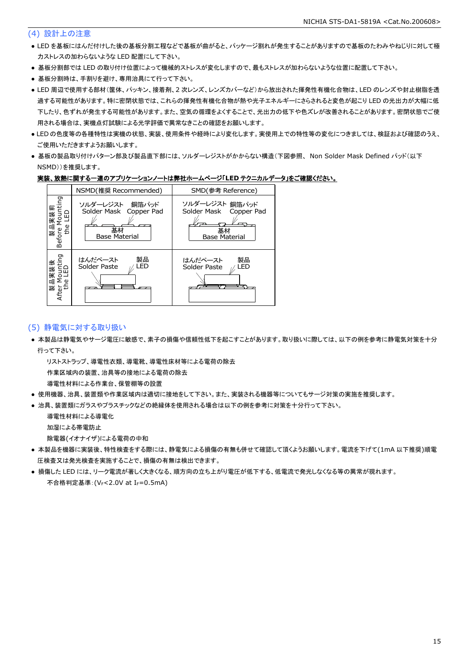#### (4) 設計上の注意

- LED を基板にはんだ付けした後の基板分割工程などで基板が曲がると、パッケージ割れが発生することがありますので基板のたわみやねじりに対して極 力ストレスの加わらないような LED 配置にして下さい。
- 基板分割部では LED の取り付け位置によって機械的ストレスが変化しますので、最もストレスが加わらないような位置に配置して下さい。
- 基板分割時は、手割りを避け、専用治具にて行って下さい。
- LED 周辺で使用する部材(筐体、パッキン、接着剤、2 次レンズ、レンズカバーなど)から放出された揮発性有機化合物は、LED のレンズや封止樹脂を透 過する可能性があります。特に密閉状態では、これらの揮発性有機化合物が熱や光子エネルギーにさらされると変色が起こり LED の光出力が大幅に低 下したり、色ずれが発生する可能性があります。また、空気の循環をよくすることで、光出力の低下や色ズレが改善されることがあります。密閉状態でご使 用される場合は、実機点灯試験による光学評価で異常なきことの確認をお願いします。
- LED の色度等の各種特性は実機の状態、実装、使用条件や経時により変化します。実使用上での特性等の変化につきましては、検証および確認のうえ、 ご使用いただきますようお願いします。
- 基板の製品取り付けパターン部及び製品直下部には、ソルダーレジストがかからない構造(下図参照、 Non Solder Mask Defined パッド(以下 NSMD))を推奨します。

#### 実装、放熱に関する一連のアプリケーションノートは弊社ホームページ「**LED** テクニカルデータ」をご確認ください。



#### (5) 静電気に対する取り扱い

● 本製品は静電気やサージ電圧に敏感で、素子の損傷や信頼性低下を起こすことがあります。取り扱いに際しては、以下の例を参考に静電気対策を十分 行って下さい。

リストストラップ、導電性衣類、導電靴、導電性床材等による電荷の除去

作業区域内の装置、治具等の接地による電荷の除去

導電性材料による作業台、保管棚等の設置

- 使用機器、治具、装置類や作業区域内は適切に接地をして下さい。また、実装される機器等についてもサージ対策の実施を推奨します。
- 治具、装置類にガラスやプラスチックなどの絶縁体を使用される場合は以下の例を参考に対策を十分行って下さい。

導電性材料による導電化

加湿による帯電防止

除電器(イオナイザ)による電荷の中和

- 本製品を機器に実装後、特性検査をする際には、静電気による損傷の有無も併せて確認して頂くようお願いします。電流を下げて(1mA 以下推奨)順電 圧検査又は発光検査を実施することで、損傷の有無は検出できます。
- 損傷した LED には、リーク電流が著しく大きくなる、順方向の立ち上がり電圧が低下する、低電流で発光しなくなる等の異常が現れます。 不合格判定基準: (VF<2.0V at IF=0.5mA)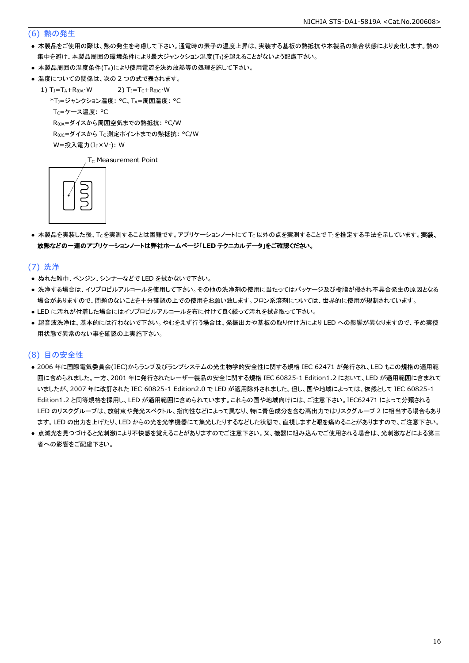#### (6) 熱の発生

- 本製品をご使用の際は、熱の発生を考慮して下さい。通電時の素子の温度上昇は、実装する基板の熱抵抗や本製品の集合状態により変化します。熱の 集中を避け、本製品周囲の環境条件により最大ジャンクション温度(Tj)を超えることがないよう配慮下さい。
- 本製品周囲の温度条件(TA)により使用電流を決め放熱等の処理を施して下さい。
- 温度についての関係は、次の2つの式で表されます。
	- 1)  $T_J = T_A + R_{\theta JA} \cdot W$  2)  $T_J = T_C + R_{\theta JC} \cdot W$ 
		- \*TJ=ジャンクション温度: °C、TA=周囲温度: °C

T<sub>C</sub>=ケース温度: °C

RθJA=ダイスから周囲空気までの熱抵抗: °C/W

ReJc=ダイスから Tc 測定ポイントまでの熱抵抗: °C/W

 $W = \frac{1}{2} \lambda \frac{1}{2} \sum_{r=1}^{n} (I_{F} \times V_{F})$ : W

T<sub>C</sub> Measurement Point



● 本製品を実装した後、Tcを実測することは困難です。アプリケーションノートにて Tc以外の点を実測することで T」を推定する手法を示しています。実装、 放熱などの一連のアプリケーションノートは弊社ホームページ「**LED** テクニカルデータ」をご確認ください。

(7) 洗浄

- ぬれた雑巾、ベンジン、シンナーなどで LED を拭かないで下さい。
- 洗浄する場合は、イソプロピルアルコールを使用して下さい。その他の洗浄剤の使用に当たってはパッケージ及び樹脂が侵され不具合発生の原因となる 場合がありますので、問題のないことを十分確認の上での使用をお願い致します。フロン系溶剤については、世界的に使用が規制されています。
- LED に汚れが付着した場合にはイソプロピルアルコールを布に付けて良く絞って汚れを拭き取って下さい。
- 超音波洗浄は、基本的には行わないで下さい。やむをえず行う場合は、発振出力や基板の取り付け方により LED への影響が異なりますので、予め実使 用状態で異常のない事を確認の上実施下さい。

#### (8) 目の安全性

- 2006 年に国際電気委員会(IEC)からランプ及びランプシステムの光生物学的安全性に関する規格 IEC 62471 が発行され、LED もこの規格の適用範 囲に含められました。一方、2001 年に発行されたレーザー製品の安全に関する規格 IEC 60825-1 Edition1.2 において、LED が適用範囲に含まれて いましたが、2007 年に改訂された IEC 60825-1 Edition2.0 で LED が適用除外されました。但し、国や地域によっては、依然として IEC 60825-1 Edition1.2 と同等規格を採用し、LED が適用範囲に含められています。これらの国や地域向けには、ご注意下さい。IEC62471 によって分類される LED のリスクグループは、放射束や発光スペクトル、指向性などによって異なり、特に青色成分を含む高出力ではリスクグループ 2 に相当する場合もあり ます。LED の出力を上げたり、LED からの光を光学機器にて集光したりするなどした状態で、直視しますと眼を痛めることがありますので、ご注意下さい。
- 点滅光を見つづけると光刺激により不快感を覚えることがありますのでご注意下さい。又、機器に組み込んでご使用される場合は、光刺激などによる第三 者への影響をご配慮下さい。